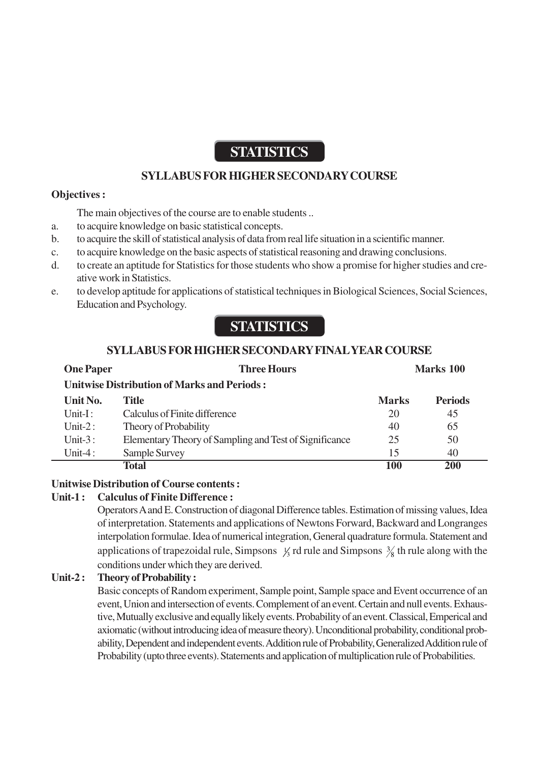## **STATISTICS**

## **SYLLABUS FOR HIGHER SECONDARY COURSE**

#### **Objectives :**

The main objectives of the course are to enable students ..

- a. to acquire knowledge on basic statistical concepts.
- b. to acquire the skill of statistical analysis of data from real life situation in a scientific manner.
- c. to acquire knowledge on the basic aspects of statistical reasoning and drawing conclusions.
- d. to create an aptitude for Statistics for those students who show a promise for higher studies and creative work in Statistics.
- e. to develop aptitude for applications of statistical techniques in Biological Sciences, Social Sciences, Education and Psychology.

# **STATISTICS**

## **SYLLABUS FOR HIGHER SECONDARY FINAL YEAR COURSE**

| <b>One Paper</b>                                   | <b>Three Hours</b>                                     | Marks 100    |                |
|----------------------------------------------------|--------------------------------------------------------|--------------|----------------|
| <b>Unitwise Distribution of Marks and Periods:</b> |                                                        |              |                |
| Unit No.                                           | Title                                                  | <b>Marks</b> | <b>Periods</b> |
| $\text{Unit-I}$ :                                  | Calculus of Finite difference                          | 20           | 45             |
| Unit- $2:$                                         | Theory of Probability                                  | 40           | 65             |
| Unit- $3:$                                         | Elementary Theory of Sampling and Test of Significance | 25           | 50             |
| Unit-4:                                            | Sample Survey                                          | 15           | 40             |
|                                                    | Total                                                  | 100          | <b>200</b>     |

## **Unitwise Distribution of Course contents :**

## **Unit-1 : Calculus of Finite Difference :**

Operators A and E. Construction of diagonal Difference tables. Estimation of missing values, Idea of interpretation. Statements and applications of Newtons Forward, Backward and Longranges interpolation formulae. Idea of numerical integration, General quadrature formula. Statement and applications of trapezoidal rule, Simpsons  $\frac{1}{3}$  rd rule and Simpsons  $\frac{3}{8}$  th rule along with the conditions under which they are derived.

## **Unit-2 : Theory of Probability :**

Basic concepts of Random experiment, Sample point, Sample space and Event occurrence of an event, Union and intersection of events. Complement of an event. Certain and null events. Exhaustive, Mutually exclusive and equally likely events. Probability of an event. Classical, Emperical and axiomatic (without introducing idea of measure theory). Unconditional probability, conditional probability, Dependent and independent events. Addition rule of Probability, Generalized Addition rule of Probability (upto three events). Statements and application of multiplication rule of Probabilities.